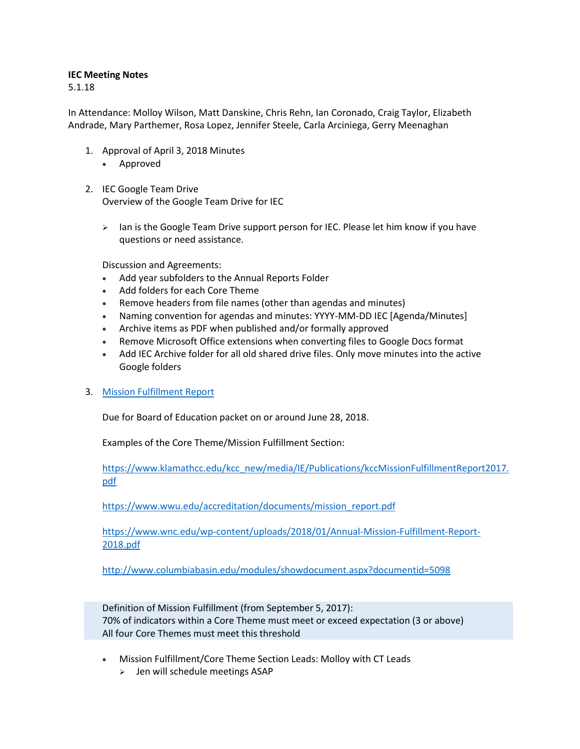## **IEC Meeting Notes**

5.1.18

In Attendance: Molloy Wilson, Matt Danskine, Chris Rehn, Ian Coronado, Craig Taylor, Elizabeth Andrade, Mary Parthemer, Rosa Lopez, Jennifer Steele, Carla Arciniega, Gerry Meenaghan

- 1. Approval of April 3, 2018 Minutes
	- Approved
- 2. IEC Google Team Drive Overview of the Google Team Drive for IEC
	- $\triangleright$  Ian is the Google Team Drive support person for IEC. Please let him know if you have questions or need assistance.

Discussion and Agreements:

- Add year subfolders to the Annual Reports Folder
- Add folders for each Core Theme
- Remove headers from file names (other than agendas and minutes)
- Naming convention for agendas and minutes: YYYY-MM-DD IEC [Agenda/Minutes]
- Archive items as PDF when published and/or formally approved
- Remove Microsoft Office extensions when converting files to Google Docs format
- Add IEC Archive folder for all old shared drive files. Only move minutes into the active Google folders
- 3. [Mission Fulfillment Report](https://drive.google.com/open?id=1KdPrnzG-V4z-A1r98fEi0rgTyt8QRK_IB39KMVBTV-U)

Due for Board of Education packet on or around June 28, 2018.

Examples of the Core Theme/Mission Fulfillment Section:

[https://www.klamathcc.edu/kcc\\_new/media/IE/Publications/kccMissionFulfillmentReport2017.](https://www.klamathcc.edu/kcc_new/media/IE/Publications/kccMissionFulfillmentReport2017.pdf) [pdf](https://www.klamathcc.edu/kcc_new/media/IE/Publications/kccMissionFulfillmentReport2017.pdf)

[https://www.wwu.edu/accreditation/documents/mission\\_report.pdf](https://www.wwu.edu/accreditation/documents/mission_report.pdf)

[https://www.wnc.edu/wp-content/uploads/2018/01/Annual-Mission-Fulfillment-Report-](https://www.wnc.edu/wp-content/uploads/2018/01/Annual-Mission-Fulfillment-Report-2018.pdf)[2018.pdf](https://www.wnc.edu/wp-content/uploads/2018/01/Annual-Mission-Fulfillment-Report-2018.pdf)

<http://www.columbiabasin.edu/modules/showdocument.aspx?documentid=5098>

Definition of Mission Fulfillment (from September 5, 2017): 70% of indicators within a Core Theme must meet or exceed expectation (3 or above) All four Core Themes must meet this threshold

- Mission Fulfillment/Core Theme Section Leads: Molloy with CT Leads
	- $\geq$  Jen will schedule meetings ASAP